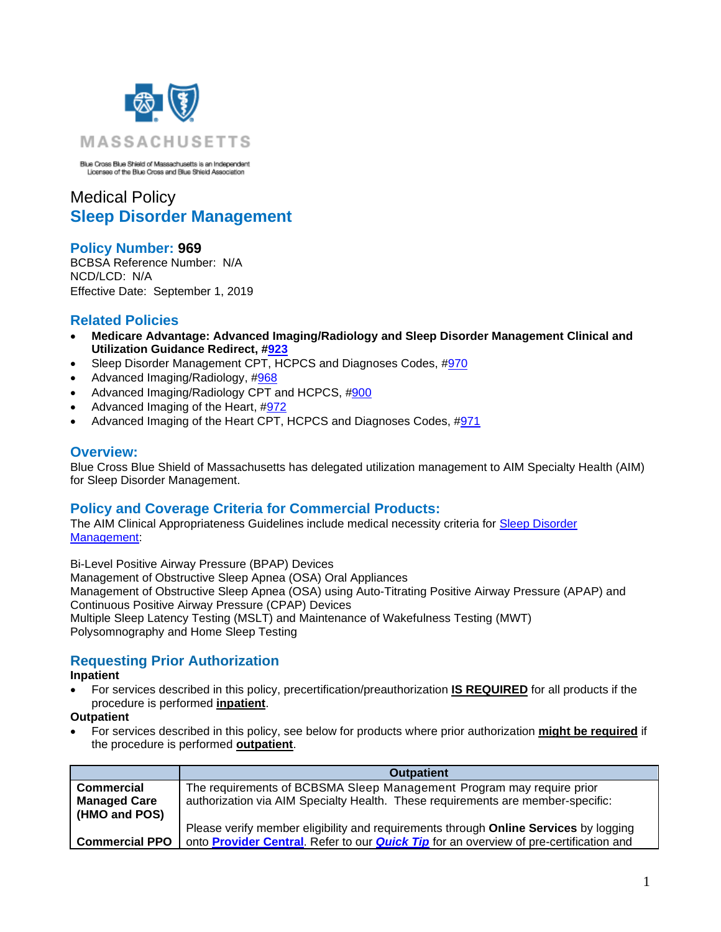

Blue Cross Blue Shield of Massachusetts is an Independent<br>Licensee of the Blue Cross and Blue Shield Association

# Medical Policy **Sleep Disorder Management**

# **Policy Number: 969**

BCBSA Reference Number: N/A NCD/LCD: N/A Effective Date: September 1, 2019

# **Related Policies**

- **Medicare Advantage: Advanced Imaging/Radiology and Sleep Disorder Management Clinical and Utilization Guidance Redirect, [#923](http://www.bluecrossma.org/medical-policies/sites/g/files/csphws2091/files/acquiadam-assets/923%20Medicare%20Advantage%20High%20Technology%20Radiology%20&%20Sleep%20Disorder%20Management%20Redirect%20prn.pdf)**
- Sleep Disorder Management CPT, HCPCS and Diagnoses Codes, [#970](https://www.bluecrossma.org/medical-policies/sites/g/files/csphws2091/files/acquiadam-assets/970%20Sleep%20Disorder%20Management%20CPT%20and%20HCPCS%20Codes%20prn.pdf)
- Advanced Imaging/Radiology, [#968](https://www.bluecrossma.org/medical-policies/sites/g/files/csphws2091/files/acquiadam-assets/968%20Advanced%20Imaging%20Radiology%20prn.pdf)
- Advanced Imaging/Radiology CPT and HCPCS, [#900](https://www.bluecrossma.org/medical-policies/sites/g/files/csphws2091/files/acquiadam-assets/900%20AIM%20High%20Technology%20Radiology%20Management%20Program%20CPT%20and%20HCPCS%20Codes%20prn.pdf)
- Advanced Imaging of the Heart, [#972](https://bluecrossma.org/medical-policies/sites/g/files/csphws2091/files/acquiadam-assets/972%20Advanced%20Imaging%20of%20the%20Heart%20prn.pdf)
- Advanced Imaging of the Heart CPT, HCPCS and Diagnoses Codes, [#971](https://www.bluecrossma.com/common/en_US/medical_policies/971%20Advanced%20Imaging%20of%20the%20Heart%20CPT%20and%20HCPCS%20Codes%20prn.pdf)

### **Overview:**

Blue Cross Blue Shield of Massachusetts has delegated utilization management to AIM Specialty Health (AIM) for Sleep Disorder Management.

# **Policy and Coverage Criteria for Commercial Products:**

The AIM Clinical Appropriateness Guidelines include medical necessity criteria for [Sleep Disorder](http://www.aimspecialtyhealth.com/CG-Sleep.html) [Management:](http://www.aimspecialtyhealth.com/CG-Sleep.html)

Bi-Level Positive Airway Pressure (BPAP) Devices Management of Obstructive Sleep Apnea (OSA) Oral Appliances Management of Obstructive Sleep Apnea (OSA) using Auto-Titrating Positive Airway Pressure (APAP) and Continuous Positive Airway Pressure (CPAP) Devices Multiple Sleep Latency Testing (MSLT) and Maintenance of Wakefulness Testing (MWT) Polysomnography and Home Sleep Testing

# **Requesting Prior Authorization**

### **Inpatient**

• For services described in this policy, precertification/preauthorization **IS REQUIRED** for all products if the procedure is performed **inpatient**.

#### **Outpatient**

• For services described in this policy, see below for products where prior authorization **might be required** if the procedure is performed **outpatient**.

|                                      | <b>Outpatient</b>                                                                                     |  |
|--------------------------------------|-------------------------------------------------------------------------------------------------------|--|
| <b>Commercial</b>                    | The requirements of BCBSMA Sleep Management Program may require prior                                 |  |
| <b>Managed Care</b><br>(HMO and POS) | authorization via AIM Specialty Health. These requirements are member-specific:                       |  |
|                                      | Please verify member eligibility and requirements through Online Services by logging                  |  |
| <b>Commercial PPO</b>                | onto <b>Provider Central</b> . Refer to our <b>Quick Tip</b> for an overview of pre-certification and |  |